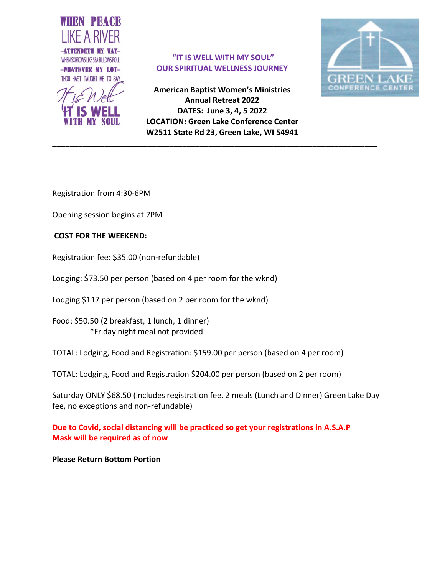



## "IT IS WELL WITH MY SOUL" OUR SPIRITUAL WELLNESS JOURNEY

American Baptist Women's Ministries Annual Retreat 2022 DATES: June 3, 4, 5 2022 LOCATION: Green Lake Conference Center W2511 State Rd 23, Green Lake, WI 54941

\_\_\_\_\_\_\_\_\_\_\_\_\_\_\_\_\_\_\_\_\_\_\_\_\_\_\_\_\_\_\_\_\_\_\_\_\_\_\_\_\_\_\_\_\_\_\_\_\_\_\_\_\_\_\_\_\_\_\_\_\_\_\_\_\_\_\_\_\_\_\_\_\_\_\_



Registration from 4:30-6PM

Opening session begins at 7PM

## COST FOR THE WEEKEND:

Registration fee: \$35.00 (non-refundable)

Lodging: \$73.50 per person (based on 4 per room for the wknd)

Lodging \$117 per person (based on 2 per room for the wknd)

Food: \$50.50 (2 breakfast, 1 lunch, 1 dinner) \*Friday night meal not provided

TOTAL: Lodging, Food and Registration: \$159.00 per person (based on 4 per room)

TOTAL: Lodging, Food and Registration \$204.00 per person (based on 2 per room)

Saturday ONLY \$68.50 (includes registration fee, 2 meals (Lunch and Dinner) Green Lake Day fee, no exceptions and non-refundable)

Due to Covid, social distancing will be practiced so get your registrations in A.S.A.P Mask will be required as of now

Please Return Bottom Portion